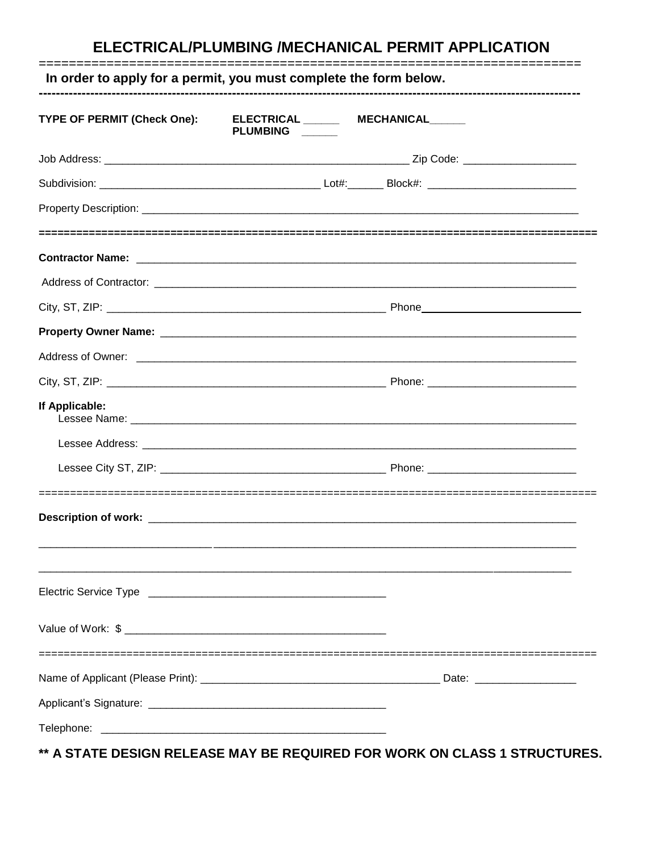# ELECTRICAL/PLUMBING /MECHANICAL PERMIT APPLICATION

| TYPE OF PERMIT (Check One): | ELECTRICAL _______ MECHANICAL_____<br>PLUMBING ____ |  |
|-----------------------------|-----------------------------------------------------|--|
|                             |                                                     |  |
|                             |                                                     |  |
|                             |                                                     |  |
|                             |                                                     |  |
|                             |                                                     |  |
|                             |                                                     |  |
|                             |                                                     |  |
|                             |                                                     |  |
|                             |                                                     |  |
| If Applicable:              |                                                     |  |
|                             |                                                     |  |
|                             |                                                     |  |
|                             |                                                     |  |
|                             |                                                     |  |
|                             |                                                     |  |
|                             |                                                     |  |
|                             |                                                     |  |
|                             |                                                     |  |

\*\* A STATE DESIGN RELEASE MAY BE REQUIRED FOR WORK ON CLASS 1 STRUCTURES.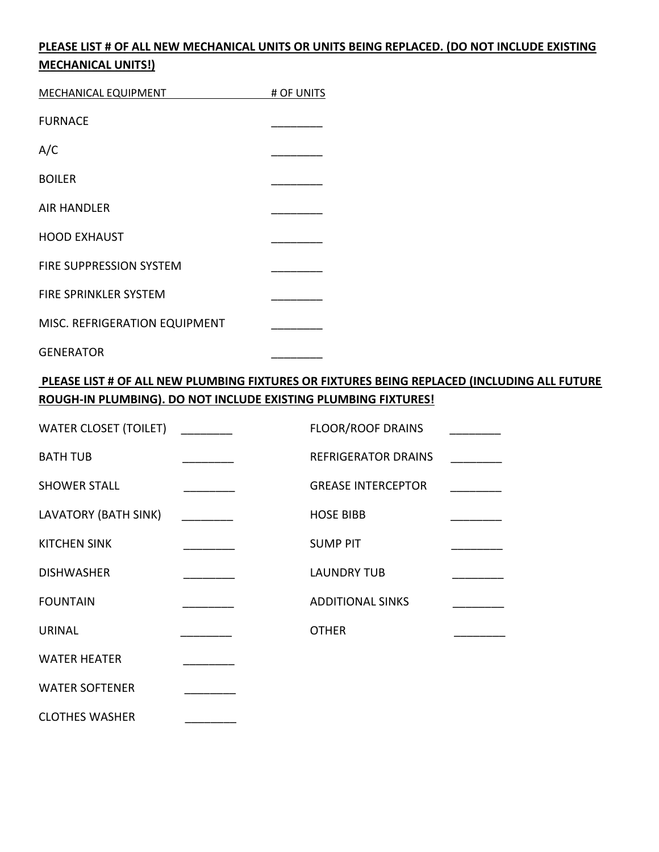### **PLEASE LIST # OF ALL NEW MECHANICAL UNITS OR UNITS BEING REPLACED. (DO NOT INCLUDE EXISTING MECHANICAL UNITS!)**

| MECHANICAL EQUIPMENT           | # OF UNITS |
|--------------------------------|------------|
| <b>FURNACE</b>                 |            |
| A/C                            |            |
| <b>BOILER</b>                  |            |
| <b>AIR HANDLER</b>             |            |
| <b>HOOD EXHAUST</b>            |            |
| <b>FIRE SUPPRESSION SYSTEM</b> |            |
| FIRE SPRINKLER SYSTEM          |            |
| MISC. REFRIGERATION EQUIPMENT  |            |

**GENERATOR** 

#### **PLEASE LIST # OF ALL NEW PLUMBING FIXTURES OR FIXTURES BEING REPLACED (INCLUDING ALL FUTURE ROUGH-IN PLUMBING). DO NOT INCLUDE EXISTING PLUMBING FIXTURES!**

| <b>WATER CLOSET (TOILET)</b> |                          | <b>FLOOR/ROOF DRAINS</b>   |  |
|------------------------------|--------------------------|----------------------------|--|
| <b>BATH TUB</b>              |                          | <b>REFRIGERATOR DRAINS</b> |  |
| <b>SHOWER STALL</b>          |                          | <b>GREASE INTERCEPTOR</b>  |  |
| LAVATORY (BATH SINK)         | $\overline{\phantom{a}}$ | <b>HOSE BIBB</b>           |  |
| <b>KITCHEN SINK</b>          |                          | <b>SUMP PIT</b>            |  |
| <b>DISHWASHER</b>            |                          | <b>LAUNDRY TUB</b>         |  |
| <b>FOUNTAIN</b>              |                          | <b>ADDITIONAL SINKS</b>    |  |
| <b>URINAL</b>                |                          | <b>OTHER</b>               |  |
| <b>WATER HEATER</b>          |                          |                            |  |
| <b>WATER SOFTENER</b>        |                          |                            |  |
|                              |                          |                            |  |

CLOTHES WASHER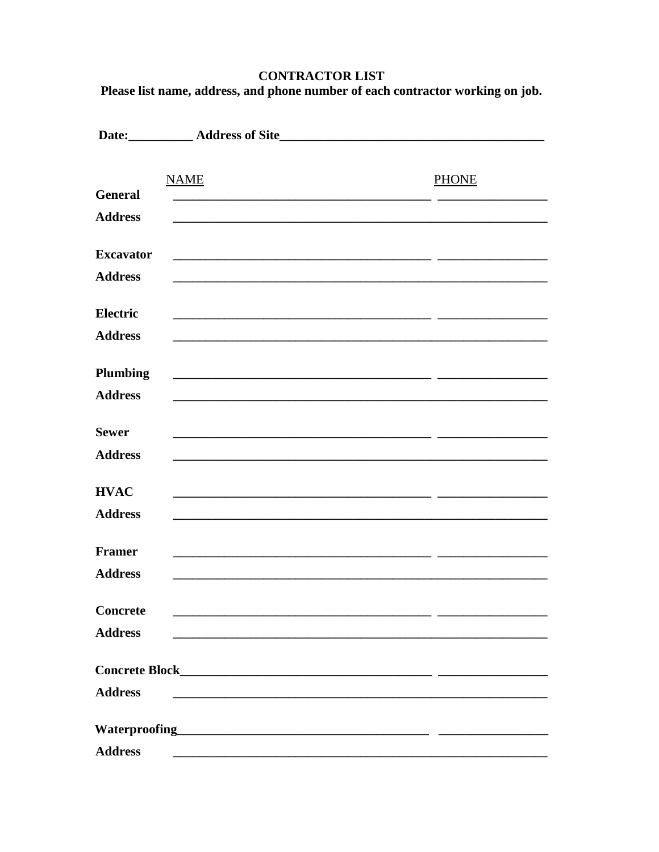# **CONTRACTOR LIST**

Please list name, address, and phone number of each contractor working on job.

|                  | <b>NAME</b>                                                                                                           | <b>PHONE</b> |
|------------------|-----------------------------------------------------------------------------------------------------------------------|--------------|
| <b>General</b>   |                                                                                                                       |              |
| <b>Address</b>   |                                                                                                                       |              |
| <b>Excavator</b> | <u> 1989 - Johann Stoff, amerikansk politiker (d. 1989)</u>                                                           |              |
| <b>Address</b>   |                                                                                                                       |              |
| <b>Electric</b>  |                                                                                                                       |              |
| <b>Address</b>   |                                                                                                                       |              |
| <b>Plumbing</b>  |                                                                                                                       |              |
|                  | <u> 1989 - Johann John Harry, mars and deutscher Programment († 1908)</u>                                             |              |
| <b>Address</b>   |                                                                                                                       |              |
| <b>Sewer</b>     | <u> 1989 - Johann Barn, amerikan berkeman dan berkeman berkeman dan berkeman dan berkeman dan berkeman dan berkem</u> |              |
| <b>Address</b>   |                                                                                                                       |              |
| <b>HVAC</b>      |                                                                                                                       |              |
| <b>Address</b>   |                                                                                                                       |              |
| <b>Framer</b>    |                                                                                                                       |              |
| <b>Address</b>   | <u> 1989 - Johann John Stoff, deutscher Stoffen und der Stoffen und der Stoffen und der Stoffen und der Stoffen</u>   |              |
|                  |                                                                                                                       |              |
| <b>Concrete</b>  |                                                                                                                       |              |
| <b>Address</b>   |                                                                                                                       |              |
|                  |                                                                                                                       |              |
| <b>Address</b>   | <u> 1980 - Johann Barn, mars ann an t-Amhain an t-Amhain an t-Amhain an t-Amhain an t-Amhain an t-Amhain an t-Amh</u> |              |
|                  |                                                                                                                       |              |
|                  |                                                                                                                       |              |
| <b>Address</b>   |                                                                                                                       |              |